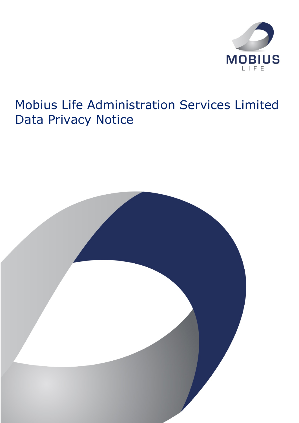

# Mobius Life Administration Services Limited Data Privacy Notice

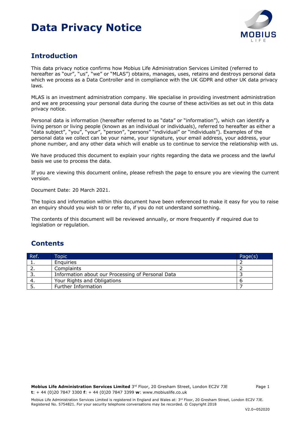

### **Introduction**

This data privacy notice confirms how Mobius Life Administration Services Limited (referred to hereafter as "our", "us", "we" or "MLAS") obtains, manages, uses, retains and destroys personal data which we process as a Data Controller and in compliance with the UK GDPR and other UK data privacy laws.

MLAS is an investment administration company. We specialise in providing investment administration and we are processing your personal data during the course of these activities as set out in this data privacy notice.

Personal data is information (hereafter referred to as "data" or "information"), which can identify a living person or living people (known as an individual or individuals), referred to hereafter as either a "data subject", "you", "your", "person", "persons" "individual" or "individuals"). Examples of the personal data we collect can be your name, your signature, your email address, your address, your phone number, and any other data which will enable us to continue to service the relationship with us.

We have produced this document to explain your rights regarding the data we process and the lawful basis we use to process the data.

If you are viewing this document online, please refresh the page to ensure you are viewing the current version.

Document Date: 20 March 2021.

The topics and information within this document have been referenced to make it easy for you to raise an enquiry should you wish to or refer to, if you do not understand something.

The contents of this document will be reviewed annually, or more frequently if required due to legislation or regulation.

### **Contents**

| Ref.     | Topic                                             | Page(s) |
|----------|---------------------------------------------------|---------|
|          | Enguiries                                         |         |
|          | Complaints                                        |         |
|          | Information about our Processing of Personal Data |         |
|          | Your Rights and Obligations                       |         |
| <u>.</u> | Further Information                               |         |

Mobius Life Administration Services Limited is registered in England and Wales at: 3<sup>rd</sup> Floor, 20 Gresham Street, London EC2V 7JE. Registered No. 5754821. For your security telephone conversations may be recorded. © Copyright 2018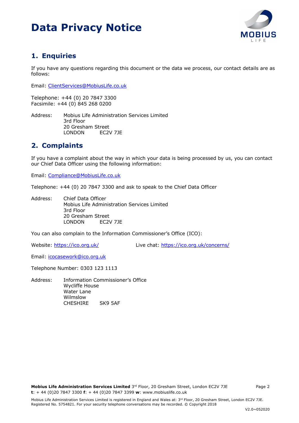

### **1. Enquiries**

If you have any questions regarding this document or the data we process, our contact details are as follows:

Email: ClientServices@MobiusLife.co.uk

Telephone: +44 (0) 20 7847 3300 Facsimile: +44 (0) 845 268 0200

Address: Mobius Life Administration Services Limited 3rd Floor 20 Gresham Street LONDON EC2V 7JE

### **2. Complaints**

If you have a complaint about the way in which your data is being processed by us, you can contact our Chief Data Officer using the following information:

Email: Compliance@MobiusLife.co.uk

Telephone: +44 (0) 20 7847 3300 and ask to speak to the Chief Data Officer

Address: Chief Data Officer Mobius Life Administration Services Limited 3rd Floor 20 Gresham Street LONDON EC2V 7JE

You can also complain to the Information Commissioner's Office (ICO):

Website: https://ico.org.uk/ Live chat: https://ico.org.uk/concerns/

Email: icocasework@ico.org.uk

Telephone Number: 0303 123 1113

Address: Information Commissioner's Office Wycliffe House Water Lane Wilmslow CHESHIRE SK9 5AF

**Mobius Life Administration Services Limited** 3<sup>rd</sup> Floor, 20 Gresham Street, London EC2V 7JE Page 2 **t**: + 44 (0)20 7847 3300 **f**: + 44 (0)20 7847 3399 **w**: www.mobiuslife.co.uk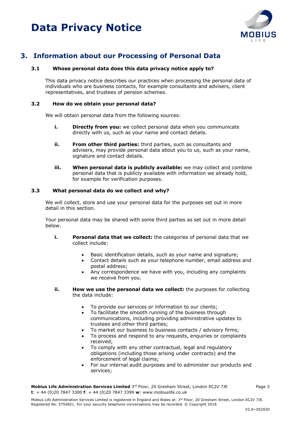

### **3. Information about our Processing of Personal Data**

### **3.1 Whose personal data does this data privacy notice apply to?**

This data privacy notice describes our practices when processing the personal data of individuals who are business contacts, for example consultants and advisers, client representatives, and trustees of pension schemes.

#### **3.2 How do we obtain your personal data?**

We will obtain personal data from the following sources:

- **i. Directly from you:** we collect personal data when you communicate directly with us, such as your name and contact details.
- **ii. From other third parties:** third parties, such as consultants and advisers, may provide personal data about you to us, such as your name, signature and contact details.
- **iii. When personal data is publicly available:** we may collect and combine personal data that is publicly available with information we already hold, for example for verification purposes.

### **3.3 What personal data do we collect and why?**

We will collect, store and use your personal data for the purposes set out in more detail in this section.

Your personal data may be shared with some third parties as set out in more detail below.

- **i. Personal data that we collect:** the categories of personal data that we collect include:
	- Basic identification details, such as your name and signature;
	- Contact details such as your telephone number, email address and postal address;
	- Any correspondence we have with you, including any complaints we receive from you.
- **ii. How we use the personal data we collect:** the purposes for collecting the data include:
	- To provide our services or information to our clients;
	- To facilitate the smooth running of the business through communications, including providing administrative updates to trustees and other third parties;
	- To market our business to business contacts / advisory firms;
	- To process and respond to any requests, enquiries or complaints received;
	- To comply with any other contractual, legal and regulatory obligations (including those arising under contracts) and the enforcement of legal claims;
	- For our internal audit purposes and to administer our products and services;

**Mobius Life Administration Services Limited** 3<sup>rd</sup> Floor, 20 Gresham Street, London EC2V 7JE Page 3 **t**: + 44 (0)20 7847 3300 **f**: + 44 (0)20 7847 3399 **w**: www.mobiuslife.co.uk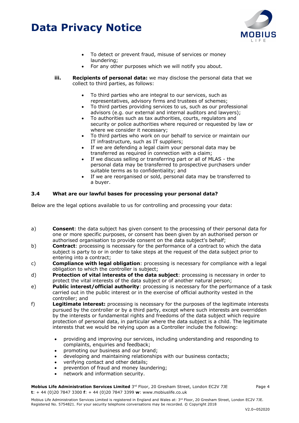

- To detect or prevent fraud, misuse of services or money laundering;
- For any other purposes which we will notify you about.
- **iii. Recipients of personal data:** we may disclose the personal data that we collect to third parties, as follows:
	- To third parties who are integral to our services, such as representatives, advisory firms and trustees of schemes;
	- To third parties providing services to us, such as our professional advisors (e.g. our external and internal auditors and lawyers);
	- To authorities such as tax authorities, courts, regulators and security or police authorities where required or requested by law or where we consider it necessary;
	- To third parties who work on our behalf to service or maintain our IT infrastructure, such as IT suppliers;
	- If we are defending a legal claim your personal data may be transferred as required in connection with a claim;
	- If we discuss selling or transferring part or all of MLAS the personal data may be transferred to prospective purchasers under suitable terms as to confidentiality; and
	- If we are reorganised or sold, personal data may be transferred to a buyer.

### **3.4 What are our lawful bases for processing your personal data?**

Below are the legal options available to us for controlling and processing your data:

- a) **Consent**: the data subject has given consent to the processing of their personal data for one or more specific purposes, or consent has been given by an authorised person or authorised organisation to provide consent on the data subject's behalf;
- b) **Contract**: processing is necessary for the performance of a contract to which the data subject is party to or in order to take steps at the request of the data subject prior to entering into a contract;
- c) **Compliance with legal obligation**: processing is necessary for compliance with a legal obligation to which the controller is subject;
- d) **Protection of vital interests of the data subject**: processing is necessary in order to protect the vital interests of the data subject or of another natural person;
- e) **Public interest/official authority**: processing is necessary for the performance of a task carried out in the public interest or in the exercise of official authority vested in the controller; and
- f) **Legitimate interest:** processing is necessary for the purposes of the legitimate interests pursued by the controller or by a third party, except where such interests are overridden by the interests or fundamental rights and freedoms of the data subject which require protection of personal data, in particular where the data subject is a child. The legitimate interests that we would be relying upon as a Controller include the following:
	- providing and improving our services, including understanding and responding to complaints, enquiries and feedback;
	- promoting our business and our brand;
	- developing and maintaining relationships with our business contacts;
	- verifying contact and other details;
	- prevention of fraud and money laundering;
	- network and information security.

**Mobius Life Administration Services Limited** 3<sup>rd</sup> Floor, 20 Gresham Street, London EC2V 7JE Page 4 **t**: + 44 (0)20 7847 3300 **f**: + 44 (0)20 7847 3399 **w**: www.mobiuslife.co.uk

Mobius Life Administration Services Limited is registered in England and Wales at: 3<sup>rd</sup> Floor, 20 Gresham Street, London EC2V 7JE. Registered No. 5754821. For your security telephone conversations may be recorded. © Copyright 2018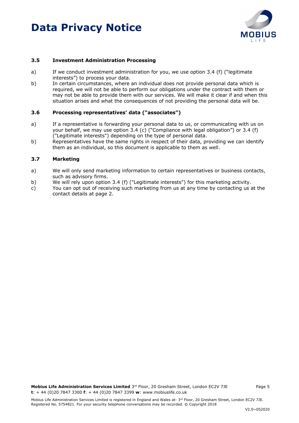

#### **3.5 Investment Administration Processing**

- a) If we conduct investment administration for you, we use option 3.4 (f) ("legitimate interests") to process your data.
- b) In certain circumstances, where an individual does not provide personal data which is required, we will not be able to perform our obligations under the contract with them or may not be able to provide them with our services. We will make it clear if and when this situation arises and what the consequences of not providing the personal data will be.

### **3.6 Processing representatives' data ("associates")**

- a) If a representative is forwarding your personal data to us, or communicating with us on your behalf, we may use option 3.4 (c) ("Compliance with legal obligation") or 3.4 (f) ("Legitimate interests") depending on the type of personal data.
- b) Representatives have the same rights in respect of their data, providing we can identify them as an individual, so this document is applicable to them as well.

#### **3.7 Marketing**

- a) We will only send marketing information to certain representatives or business contacts, such as advisory firms.
- b) We will rely upon option 3.4 (f) ("Legitimate interests") for this marketing activity.
- c) You can opt out of receiving such marketing from us at any time by contacting us at the contact details at page 2.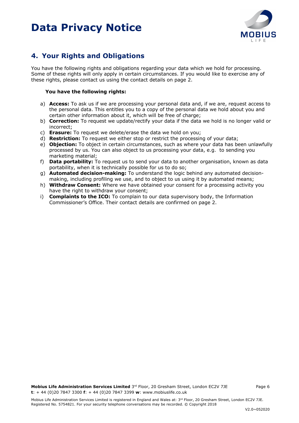

### **4. Your Rights and Obligations**

You have the following rights and obligations regarding your data which we hold for processing. Some of these rights will only apply in certain circumstances. If you would like to exercise any of these rights, please contact us using the contact details on page 2.

### **You have the following rights:**

- a) **Access:** To ask us if we are processing your personal data and, if we are, request access to the personal data. This entitles you to a copy of the personal data we hold about you and certain other information about it, which will be free of charge;
- b) **Correction:** To request we update/rectify your data if the data we hold is no longer valid or incorrect;
- c) **Erasure:** To request we delete/erase the data we hold on you;
- d) **Restriction:** To request we either stop or restrict the processing of your data;
- e) **Objection:** To object in certain circumstances, such as where your data has been unlawfully processed by us. You can also object to us processing your data, e.g. to sending you marketing material;
- f) **Data portability:** To request us to send your data to another organisation, known as data portability, when it is technically possible for us to do so;
- g) **Automated decision-making:** To understand the logic behind any automated decisionmaking, including profiling we use, and to object to us using it by automated means;
- h) **Withdraw Consent:** Where we have obtained your consent for a processing activity you have the right to withdraw your consent;
- i) **Complaints to the ICO:** To complain to our data supervisory body, the Information Commissioner's Office. Their contact details are confirmed on page 2.